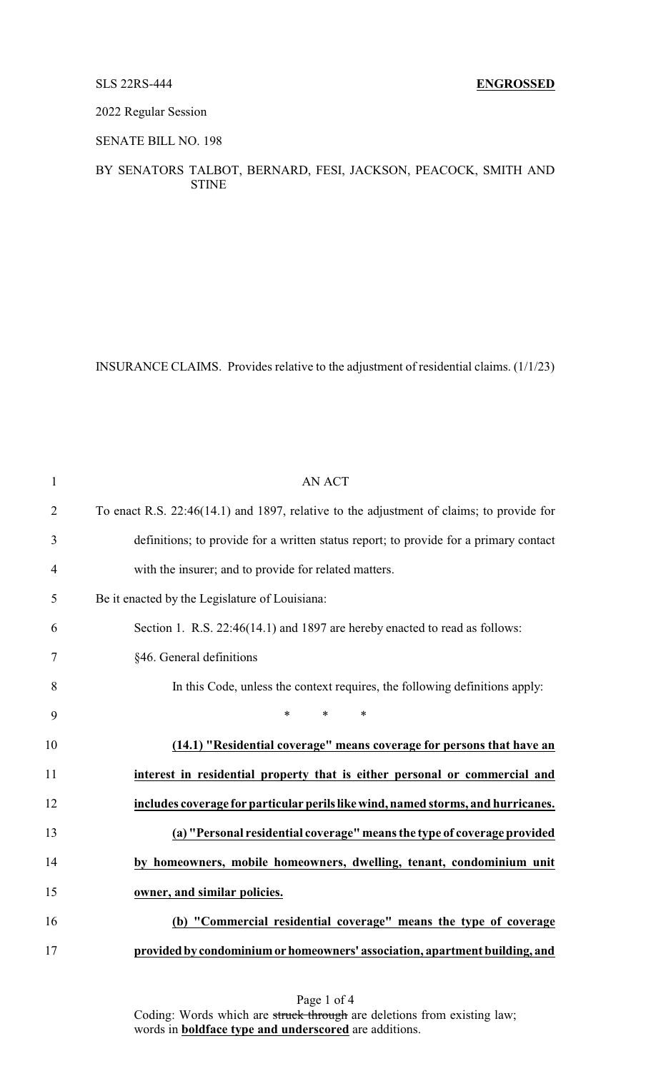### 2022 Regular Session

### SENATE BILL NO. 198

## BY SENATORS TALBOT, BERNARD, FESI, JACKSON, PEACOCK, SMITH AND STINE

INSURANCE CLAIMS. Provides relative to the adjustment of residential claims. (1/1/23)

| $\mathbf{1}$   | <b>AN ACT</b>                                                                            |
|----------------|------------------------------------------------------------------------------------------|
| $\overline{2}$ | To enact R.S. 22:46(14.1) and 1897, relative to the adjustment of claims; to provide for |
| 3              | definitions; to provide for a written status report; to provide for a primary contact    |
| $\overline{4}$ | with the insurer; and to provide for related matters.                                    |
| 5              | Be it enacted by the Legislature of Louisiana:                                           |
| 6              | Section 1. R.S. 22:46(14.1) and 1897 are hereby enacted to read as follows:              |
| 7              | §46. General definitions                                                                 |
| 8              | In this Code, unless the context requires, the following definitions apply:              |
| 9              | *<br>$\ast$<br>$\ast$                                                                    |
| 10             | (14.1) "Residential coverage" means coverage for persons that have an                    |
| 11             | interest in residential property that is either personal or commercial and               |
| 12             | includes coverage for particular perils like wind, named storms, and hurricanes.         |
| 13             | (a) "Personal residential coverage" means the type of coverage provided                  |
| 14             | by homeowners, mobile homeowners, dwelling, tenant, condominium unit                     |
| 15             | owner, and similar policies.                                                             |
| 16             | (b) "Commercial residential coverage" means the type of coverage                         |
| 17             | provided by condominium or homeowners' association, apartment building, and              |

Page 1 of 4 Coding: Words which are struck through are deletions from existing law; words in **boldface type and underscored** are additions.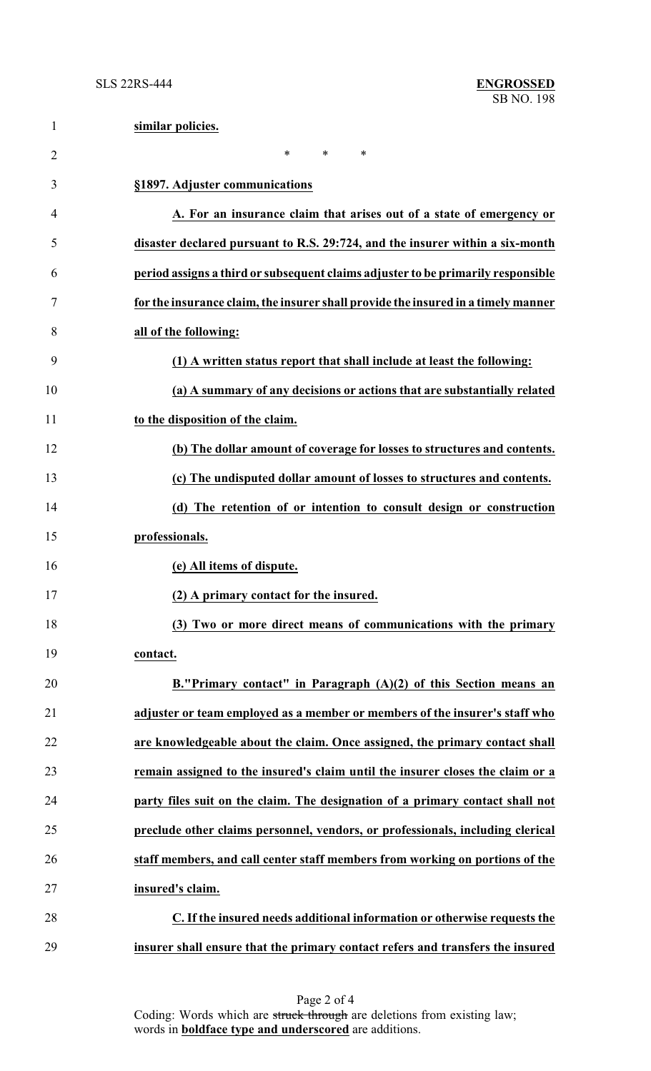| $\mathbf{1}$   | similar policies.                                                                 |
|----------------|-----------------------------------------------------------------------------------|
| $\overline{2}$ | $\ast$<br>*<br>∗                                                                  |
| 3              | §1897. Adjuster communications                                                    |
| 4              | A. For an insurance claim that arises out of a state of emergency or              |
| 5              | disaster declared pursuant to R.S. 29:724, and the insurer within a six-month     |
| 6              | period assigns a third or subsequent claims adjuster to be primarily responsible  |
| 7              | for the insurance claim, the insurer shall provide the insured in a timely manner |
| 8              | all of the following:                                                             |
| 9              | (1) A written status report that shall include at least the following:            |
| 10             | (a) A summary of any decisions or actions that are substantially related          |
| 11             | to the disposition of the claim.                                                  |
| 12             | (b) The dollar amount of coverage for losses to structures and contents.          |
| 13             | (c) The undisputed dollar amount of losses to structures and contents.            |
| 14             | (d) The retention of or intention to consult design or construction               |
| 15             | professionals.                                                                    |
| 16             | (e) All items of dispute.                                                         |
| 17             | (2) A primary contact for the insured.                                            |
| 18             | (3) Two or more direct means of communications with the primary                   |
| 19             | contact.                                                                          |
| 20             | B."Primary contact" in Paragraph $(A)(2)$ of this Section means an                |
| 21             | adjuster or team employed as a member or members of the insurer's staff who       |
| 22             | are knowledgeable about the claim. Once assigned, the primary contact shall       |
| 23             | remain assigned to the insured's claim until the insurer closes the claim or a    |
| 24             | party files suit on the claim. The designation of a primary contact shall not     |
| 25             | preclude other claims personnel, vendors, or professionals, including clerical    |
| 26             | staff members, and call center staff members from working on portions of the      |
| 27             | insured's claim.                                                                  |
| 28             | C. If the insured needs additional information or otherwise requests the          |
| 29             | insurer shall ensure that the primary contact refers and transfers the insured    |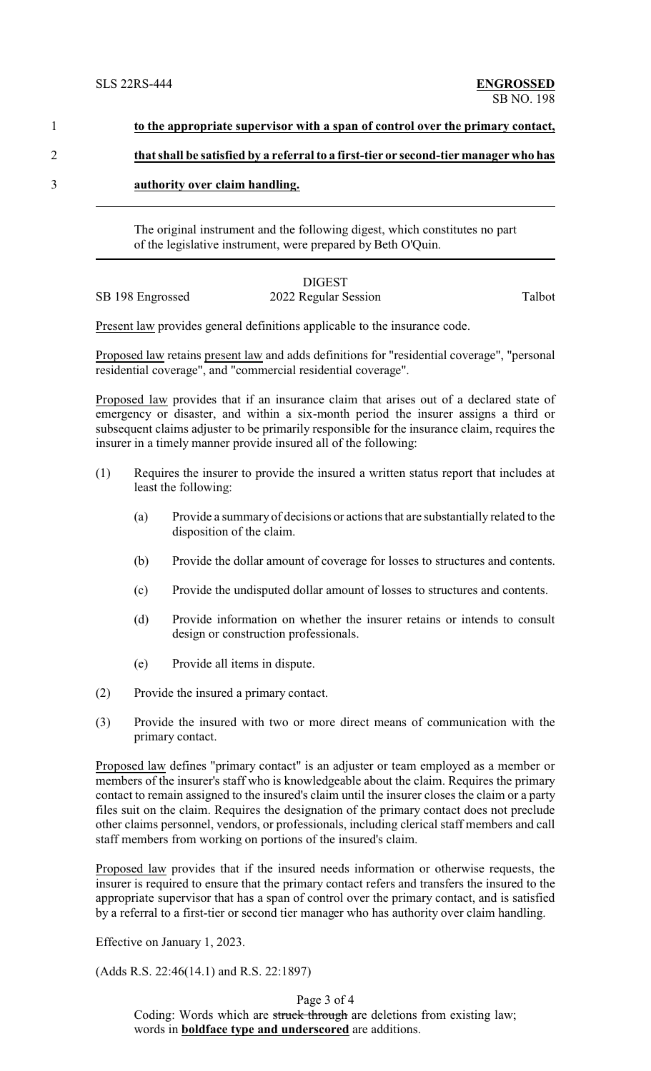# 1 **to the appropriate supervisor with a span of control over the primary contact,**

#### 2 **that shall be satisfied by a referral to a first-tier or second-tier manager who has**

3 **authority over claim handling.**

The original instrument and the following digest, which constitutes no part of the legislative instrument, were prepared by Beth O'Quin.

# DIGEST

# SB 198 Engrossed 2022 Regular Session Talbot

Present law provides general definitions applicable to the insurance code.

Proposed law retains present law and adds definitions for "residential coverage", "personal residential coverage", and "commercial residential coverage".

Proposed law provides that if an insurance claim that arises out of a declared state of emergency or disaster, and within a six-month period the insurer assigns a third or subsequent claims adjuster to be primarily responsible for the insurance claim, requires the insurer in a timely manner provide insured all of the following:

- (1) Requires the insurer to provide the insured a written status report that includes at least the following:
	- (a) Provide a summary of decisions or actions that are substantially related to the disposition of the claim.
	- (b) Provide the dollar amount of coverage for losses to structures and contents.
	- (c) Provide the undisputed dollar amount of losses to structures and contents.
	- (d) Provide information on whether the insurer retains or intends to consult design or construction professionals.
	- (e) Provide all items in dispute.
- (2) Provide the insured a primary contact.
- (3) Provide the insured with two or more direct means of communication with the primary contact.

Proposed law defines "primary contact" is an adjuster or team employed as a member or members of the insurer's staff who is knowledgeable about the claim. Requires the primary contact to remain assigned to the insured's claim until the insurer closes the claim or a party files suit on the claim. Requires the designation of the primary contact does not preclude other claims personnel, vendors, or professionals, including clerical staff members and call staff members from working on portions of the insured's claim.

Proposed law provides that if the insured needs information or otherwise requests, the insurer is required to ensure that the primary contact refers and transfers the insured to the appropriate supervisor that has a span of control over the primary contact, and is satisfied by a referral to a first-tier or second tier manager who has authority over claim handling.

Effective on January 1, 2023.

(Adds R.S. 22:46(14.1) and R.S. 22:1897)

Page 3 of 4

Coding: Words which are struck through are deletions from existing law; words in **boldface type and underscored** are additions.